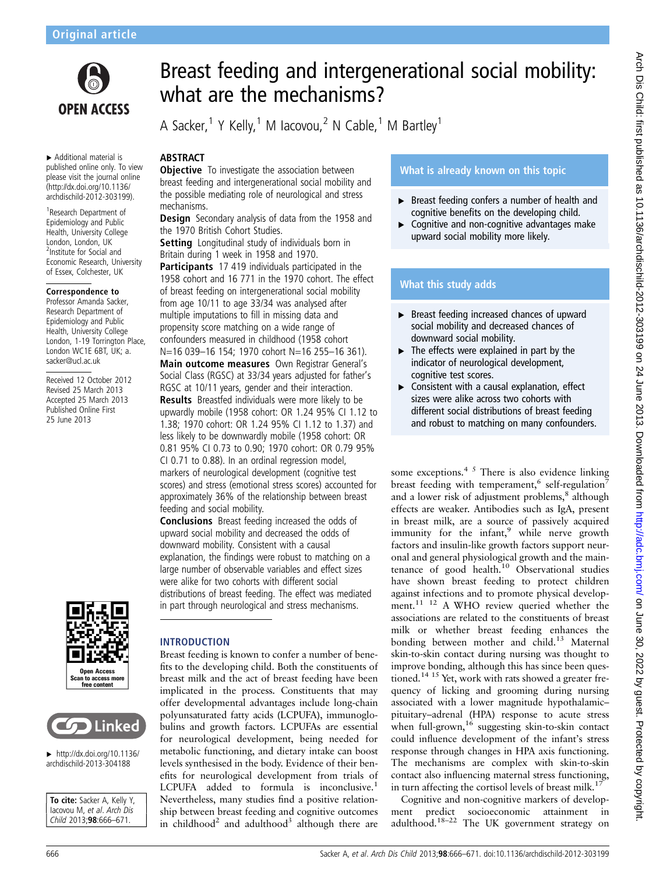

# Breast feeding and intergenerational social mobility: what are the mechanisms?

A Sacker,<sup>1</sup> Y Kelly,<sup>1</sup> M Iacovou,<sup>2</sup> N Cable,<sup>1</sup> M Bartley<sup>1</sup>

**Objective** To investigate the association between breast feeding and intergenerational social mobility and the possible mediating role of neurological and stress

**Design** Secondary analysis of data from the 1958 and

Setting Longitudinal study of individuals born in Britain during 1 week in 1958 and 1970.

Participants 17 419 individuals participated in the 1958 cohort and 16 771 in the 1970 cohort. The effect of breast feeding on intergenerational social mobility from age 10/11 to age 33/34 was analysed after multiple imputations to fill in missing data and propensity score matching on a wide range of confounders measured in childhood (1958 cohort N=16 039-16 154; 1970 cohort N=16 255-16 361). Main outcome measures Own Registrar General's Social Class (RGSC) at 33/34 years adjusted for father's RGSC at 10/11 years, gender and their interaction. Results Breastfed individuals were more likely to be upwardly mobile (1958 cohort: OR 1.24 95% CI 1.12 to 1.38; 1970 cohort: OR 1.24 95% CI 1.12 to 1.37) and less likely to be downwardly mobile (1958 cohort: OR 0.81 95% CI 0.73 to 0.90; 1970 cohort: OR 0.79 95% CI 0.71 to 0.88). In an ordinal regression model, markers of neurological development (cognitive test scores) and stress (emotional stress scores) accounted for approximately 36% of the relationship between breast

#### ▸ Additional material is published online only. To view please visit the journal online [\(http://dx.doi.org/10.1136/](http://dx.doi.org/10.1136/archdischild-2012-303199) [archdischild-2012-303199](http://dx.doi.org/10.1136/archdischild-2012-303199)).

**ABSTRACT** 

mechanisms.

the 1970 British Cohort Studies.

1 Research Department of Epidemiology and Public Health, University College London, London, UK 2 Institute for Social and Economic Research, University of Essex, Colchester, UK

#### Correspondence to

Professor Amanda Sacker, Research Department of Epidemiology and Public Health, University College London, 1-19 Torrington Place, London WC1E 6BT, UK; a. sacker@ucl.ac.uk

Received 12 October 2012 Revised 25 March 2013 Accepted 25 March 2013 Published Online First 25 June 2013



 $\blacktriangleright$  [http://dx.doi.org/10.1136/](http://dx.doi.org/10.1136/archdischild-2013-304188) [archdischild-2013-304188](http://dx.doi.org/10.1136/archdischild-2013-304188)

**Linked** 

To cite: Sacker A, Kelly Y, Iacovou M, et al. Arch Dis Child 2013;98:666–671.

## INTRODUCTION

feeding and social mobility.

Conclusions Breast feeding increased the odds of upward social mobility and decreased the odds of downward mobility. Consistent with a causal

explanation, the findings were robust to matching on a large number of observable variables and effect sizes were alike for two cohorts with different social distributions of breast feeding. The effect was mediated in part through neurological and stress mechanisms.

Breast feeding is known to confer a number of benefits to the developing child. Both the constituents of breast milk and the act of breast feeding have been implicated in the process. Constituents that may offer developmental advantages include long-chain polyunsaturated fatty acids (LCPUFA), immunoglobulins and growth factors. LCPUFAs are essential for neurological development, being needed for metabolic functioning, and dietary intake can boost levels synthesised in the body. Evidence of their benefits for neurological development from trials of LCPUFA added to formula is inconclusive.<sup>1</sup> Nevertheless, many studies find a positive relationship between breast feeding and cognitive outcomes in childhood<sup>2</sup> and adulthood<sup>3</sup> although there are

## What is already known on this topic

- ▶ Breast feeding confers a number of health and cognitive benefits on the developing child.
- $\triangleright$  Cognitive and non-cognitive advantages make upward social mobility more likely.

## What this study adds

- ▶ Breast feeding increased chances of upward social mobility and decreased chances of downward social mobility.
- $\triangleright$  The effects were explained in part by the indicator of neurological development, cognitive test scores.
- $\triangleright$  Consistent with a causal explanation, effect sizes were alike across two cohorts with different social distributions of breast feeding and robust to matching on many confounders.

some exceptions.<sup>4  $\frac{1}{2}$ </sup> There is also evidence linking breast feeding with temperament,<sup>6</sup> self-regulation<sup>7</sup> and a lower risk of adjustment problems,<sup>8</sup> although effects are weaker. Antibodies such as IgA, present in breast milk, are a source of passively acquired immunity for the infant,<sup>9</sup> while nerve growth factors and insulin-like growth factors support neuronal and general physiological growth and the maintenance of good health.<sup>10</sup> Observational studies have shown breast feeding to protect children against infections and to promote physical development.<sup>11 12</sup> A WHO review queried whether the associations are related to the constituents of breast milk or whether breast feeding enhances the bonding between mother and child.<sup>13</sup> Maternal skin-to-skin contact during nursing was thought to improve bonding, although this has since been questioned.<sup>14 15</sup> Yet, work with rats showed a greater frequency of licking and grooming during nursing associated with a lower magnitude hypothalamic– pituitary–adrenal (HPA) response to acute stress when full-grown,<sup>16</sup> suggesting skin-to-skin contact could influence development of the infant's stress response through changes in HPA axis functioning. The mechanisms are complex with skin-to-skin contact also influencing maternal stress functioning, in turn affecting the cortisol levels of breast milk.<sup>17</sup>

Cognitive and non-cognitive markers of development predict socioeconomic attainment in adulthood.<sup>18–22</sup> The UK government strategy on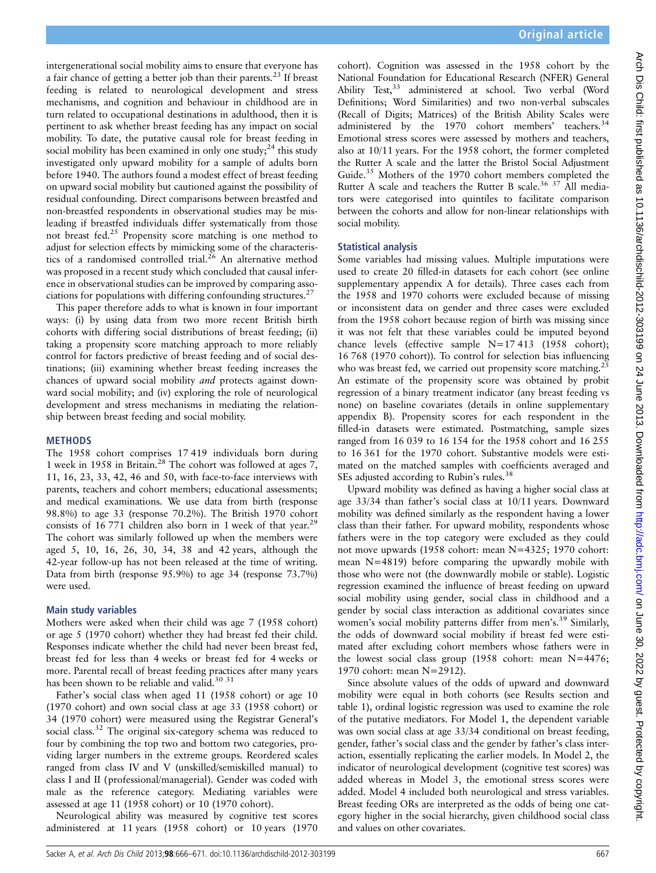intergenerational social mobility aims to ensure that everyone has a fair chance of getting a better job than their parents.<sup>23</sup> If breast feeding is related to neurological development and stress mechanisms, and cognition and behaviour in childhood are in turn related to occupational destinations in adulthood, then it is pertinent to ask whether breast feeding has any impact on social mobility. To date, the putative causal role for breast feeding in social mobility has been examined in only one study;<sup>24</sup> this study investigated only upward mobility for a sample of adults born before 1940. The authors found a modest effect of breast feeding on upward social mobility but cautioned against the possibility of residual confounding. Direct comparisons between breastfed and non-breastfed respondents in observational studies may be misleading if breastfed individuals differ systematically from those not breast fed.25 Propensity score matching is one method to adjust for selection effects by mimicking some of the characteristics of a randomised controlled trial.<sup>26</sup> An alternative method was proposed in a recent study which concluded that causal inference in observational studies can be improved by comparing associations for populations with differing confounding structures.27

This paper therefore adds to what is known in four important ways: (i) by using data from two more recent British birth cohorts with differing social distributions of breast feeding; (ii) taking a propensity score matching approach to more reliably control for factors predictive of breast feeding and of social destinations; (iii) examining whether breast feeding increases the chances of upward social mobility and protects against downward social mobility; and (iv) exploring the role of neurological development and stress mechanisms in mediating the relationship between breast feeding and social mobility.

#### METHODS

The 1958 cohort comprises 17 419 individuals born during 1 week in 1958 in Britain.<sup>28</sup> The cohort was followed at ages  $\frac{5}{7}$ , 11, 16, 23, 33, 42, 46 and 50, with face-to-face interviews with parents, teachers and cohort members; educational assessments; and medical examinations. We use data from birth (response 98.8%) to age 33 (response 70.2%). The British 1970 cohort consists of 16 771 children also born in 1 week of that year.<sup>29</sup> The cohort was similarly followed up when the members were aged 5, 10, 16, 26, 30, 34, 38 and 42 years, although the 42-year follow-up has not been released at the time of writing. Data from birth (response 95.9%) to age 34 (response 73.7%) were used.

### Main study variables

Mothers were asked when their child was age 7 (1958 cohort) or age 5 (1970 cohort) whether they had breast fed their child. Responses indicate whether the child had never been breast fed, breast fed for less than 4 weeks or breast fed for 4 weeks or more. Parental recall of breast feeding practices after many years has been shown to be reliable and valid.<sup>30 31</sup>

Father's social class when aged 11 (1958 cohort) or age 10 (1970 cohort) and own social class at age 33 (1958 cohort) or 34 (1970 cohort) were measured using the Registrar General's social class.<sup>32</sup> The original six-category schema was reduced to four by combining the top two and bottom two categories, providing larger numbers in the extreme groups. Reordered scales ranged from class IV and V (unskilled/semiskilled manual) to class I and II (professional/managerial). Gender was coded with male as the reference category. Mediating variables were assessed at age 11 (1958 cohort) or 10 (1970 cohort).

Neurological ability was measured by cognitive test scores administered at 11 years (1958 cohort) or 10 years (1970 cohort). Cognition was assessed in the 1958 cohort by the National Foundation for Educational Research (NFER) General Ability Test.<sup>33</sup> administered at school. Two verbal (Word Definitions; Word Similarities) and two non-verbal subscales (Recall of Digits; Matrices) of the British Ability Scales were administered by the 1970 cohort members' teachers.<sup>34</sup> Emotional stress scores were assessed by mothers and teachers, also at 10/11 years. For the 1958 cohort, the former completed the Rutter A scale and the latter the Bristol Social Adjustment Guide.<sup>35</sup> Mothers of the 1970 cohort members completed the Rutter A scale and teachers the Rutter B scale.<sup>36 37</sup> All mediators were categorised into quintiles to facilitate comparison between the cohorts and allow for non-linear relationships with social mobility.

### Statistical analysis

Some variables had missing values. Multiple imputations were used to create 20 filled-in datasets for each cohort (see online [supplementary appendix](http://adc.bmj.com/lookup/suppl/doi:10.1136/archdischild-2012-303199/-/DC1) A for details). Three cases each from the 1958 and 1970 cohorts were excluded because of missing or inconsistent data on gender and three cases were excluded from the 1958 cohort because region of birth was missing since it was not felt that these variables could be imputed beyond chance levels (effective sample N=17 413 (1958 cohort); 16 768 (1970 cohort)). To control for selection bias influencing who was breast fed, we carried out propensity score matching.<sup>25</sup> An estimate of the propensity score was obtained by probit regression of a binary treatment indicator (any breast feeding vs none) on baseline covariates (details in online [supplementary](http://adc.bmj.com/lookup/suppl/doi:10.1136/archdischild-2012-303199/-/DC1) [appendix](http://adc.bmj.com/lookup/suppl/doi:10.1136/archdischild-2012-303199/-/DC1) B). Propensity scores for each respondent in the filled-in datasets were estimated. Postmatching, sample sizes ranged from 16 039 to 16 154 for the 1958 cohort and 16 255 to 16 361 for the 1970 cohort. Substantive models were estimated on the matched samples with coefficients averaged and SEs adjusted according to Rubin's rules.<sup>38</sup>

Upward mobility was defined as having a higher social class at age 33/34 than father's social class at 10/11 years. Downward mobility was defined similarly as the respondent having a lower class than their father. For upward mobility, respondents whose fathers were in the top category were excluded as they could not move upwards (1958 cohort: mean N=4325; 1970 cohort: mean N=4819) before comparing the upwardly mobile with those who were not (the downwardly mobile or stable). Logistic regression examined the influence of breast feeding on upward social mobility using gender, social class in childhood and a gender by social class interaction as additional covariates since women's social mobility patterns differ from men's.<sup>39</sup> Similarly, the odds of downward social mobility if breast fed were estimated after excluding cohort members whose fathers were in the lowest social class group (1958 cohort: mean N=4476; 1970 cohort: mean N=2912).

Since absolute values of the odds of upward and downward mobility were equal in both cohorts (see Results section and table 1), ordinal logistic regression was used to examine the role of the putative mediators. For Model 1, the dependent variable was own social class at age 33/34 conditional on breast feeding, gender, father's social class and the gender by father's class interaction, essentially replicating the earlier models. In Model 2, the indicator of neurological development (cognitive test scores) was added whereas in Model 3, the emotional stress scores were added. Model 4 included both neurological and stress variables. Breast feeding ORs are interpreted as the odds of being one category higher in the social hierarchy, given childhood social class and values on other covariates.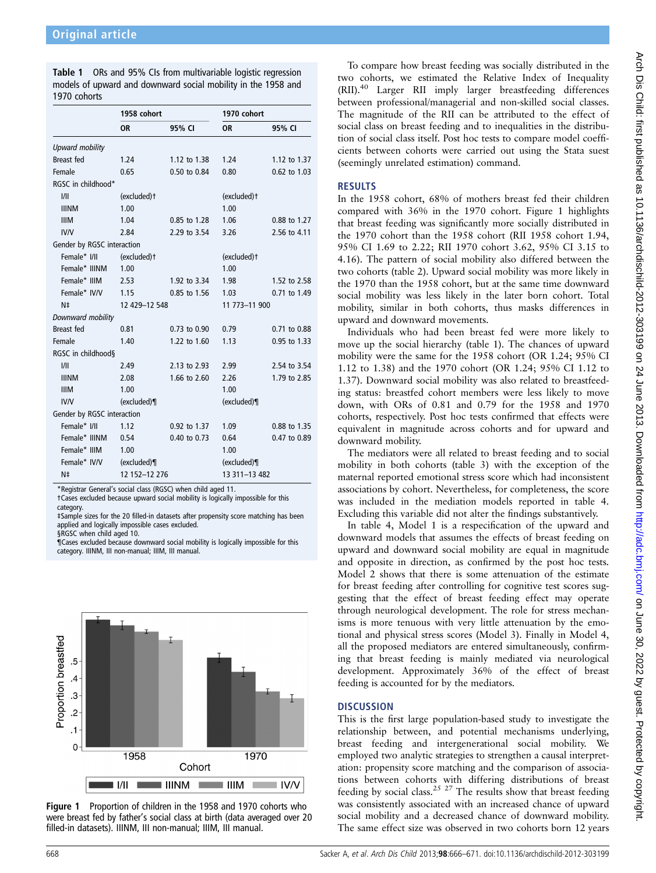Table 1 ORs and 95% CIs from multivariable logistic regression models of upward and downward social mobility in the 1958 and 1970 cohorts

|                            | 1958 cohort          |                  | 1970 cohort              |              |  |
|----------------------------|----------------------|------------------|--------------------------|--------------|--|
|                            | <b>OR</b><br>95% CI  |                  | 0R                       | 95% CI       |  |
| Upward mobility            |                      |                  |                          |              |  |
| Breast fed                 | 1.24                 | 1.12 to 1.38     | 1.24                     | 1.12 to 1.37 |  |
| Female                     | 0.65                 | 0.50 to 0.84     | 0.80<br>$0.62$ to $1.03$ |              |  |
| RGSC in childhood*         |                      |                  |                          |              |  |
| 1/11                       | (excluded)t          |                  | (excluded)t              |              |  |
| <b>IIINM</b>               | 1.00                 |                  | 1.00                     |              |  |
| <b>IIIM</b>                | 1.04                 | 0.85 to 1.28     | 1.06                     | 0.88 to 1.27 |  |
| <b>IV/V</b>                | 2.84                 | 2.29 to 3.54     | 3.26                     | 2.56 to 4.11 |  |
| Gender by RGSC interaction |                      |                  |                          |              |  |
| Female* I/II               | (excluded)t          |                  | (excluded)t              |              |  |
| Female* IIINM              | 1.00                 |                  | 1.00                     |              |  |
| Female* IIIM               | 2.53                 | 1.92 to 3.34     | 1.98                     | 1.52 to 2.58 |  |
| Female* IV/V               | 1.15                 | 0.85 to 1.56     | 1.03                     | 0.71 to 1.49 |  |
| N‡                         | 12 429-12 548        |                  | 11 773-11 900            |              |  |
| Downward mobility          |                      |                  |                          |              |  |
| <b>Breast</b> fed          | 0.81                 | $0.73$ to $0.90$ | 0.79                     | 0.71 to 0.88 |  |
| Female                     | 1.40                 | 1.22 to 1.60     | 1.13                     | 0.95 to 1.33 |  |
| RGSC in childhood§         |                      |                  |                          |              |  |
| 1/11                       | 2.49                 | 2.13 to 2.93     | 2.99                     | 2.54 to 3.54 |  |
| <b>IIINM</b>               | 2.08                 | 1.66 to 2.60     | 2.26                     | 1.79 to 2.85 |  |
| <b>IIIM</b>                | 1.00                 |                  | 1.00                     |              |  |
| <b>IV/V</b>                | (excluded)¶          |                  | (excluded)¶              |              |  |
| Gender by RGSC interaction |                      |                  |                          |              |  |
| Female* I/II               | 1.12                 | 0.92 to 1.37     | 1.09                     | 0.88 to 1.35 |  |
| Female* IIINM              | 0.40 to 0.73<br>0.54 |                  | 0.64<br>0.47 to 0.89     |              |  |
| Female* IIIM               | 1.00                 |                  | 1.00                     |              |  |
| Female* IV/V               | (excluded)¶          |                  | (excluded)¶              |              |  |
| $N^+$                      | 12 152-12 276        |                  | 13 311-13 482            |              |  |

\*Registrar General's social class (RGSC) when child aged 11.

†Cases excluded because upward social mobility is logically impossible for this category.

‡Sample sizes for the 20 filled-in datasets after propensity score matching has been applied and logically impossible cases excluded.

§RGSC when child aged 10.

¶Cases excluded because downward social mobility is logically impossible for this category. IIINM, III non-manual; IIIM, III manual.



Figure 1 Proportion of children in the 1958 and 1970 cohorts who were breast fed by father's social class at birth (data averaged over 20 filled-in datasets). IIINM, III non-manual; IIIM, III manual.

To compare how breast feeding was socially distributed in the two cohorts, we estimated the Relative Index of Inequality (RII).<sup>40</sup> Larger RII imply larger breastfeeding differences between professional/managerial and non-skilled social classes. The magnitude of the RII can be attributed to the effect of social class on breast feeding and to inequalities in the distribution of social class itself. Post hoc tests to compare model coefficients between cohorts were carried out using the Stata suest (seemingly unrelated estimation) command.

#### RESULTS

In the 1958 cohort, 68% of mothers breast fed their children compared with 36% in the 1970 cohort. Figure 1 highlights that breast feeding was significantly more socially distributed in the 1970 cohort than the 1958 cohort (RII 1958 cohort 1.94, 95% CI 1.69 to 2.22; RII 1970 cohort 3.62, 95% CI 3.15 to 4.16). The pattern of social mobility also differed between the two cohorts (table 2). Upward social mobility was more likely in the 1970 than the 1958 cohort, but at the same time downward social mobility was less likely in the later born cohort. Total mobility, similar in both cohorts, thus masks differences in upward and downward movements.

Individuals who had been breast fed were more likely to move up the social hierarchy (table 1). The chances of upward mobility were the same for the 1958 cohort (OR 1.24; 95% CI 1.12 to 1.38) and the 1970 cohort (OR 1.24; 95% CI 1.12 to 1.37). Downward social mobility was also related to breastfeeding status: breastfed cohort members were less likely to move down, with ORs of 0.81 and 0.79 for the 1958 and 1970 cohorts, respectively. Post hoc tests confirmed that effects were equivalent in magnitude across cohorts and for upward and downward mobility.

The mediators were all related to breast feeding and to social mobility in both cohorts (table 3) with the exception of the maternal reported emotional stress score which had inconsistent associations by cohort. Nevertheless, for completeness, the score was included in the mediation models reported in table 4. Excluding this variable did not alter the findings substantively.

In table 4, Model 1 is a respecification of the upward and downward models that assumes the effects of breast feeding on upward and downward social mobility are equal in magnitude and opposite in direction, as confirmed by the post hoc tests. Model 2 shows that there is some attenuation of the estimate for breast feeding after controlling for cognitive test scores suggesting that the effect of breast feeding effect may operate through neurological development. The role for stress mechanisms is more tenuous with very little attenuation by the emotional and physical stress scores (Model 3). Finally in Model 4, all the proposed mediators are entered simultaneously, confirming that breast feeding is mainly mediated via neurological development. Approximately 36% of the effect of breast feeding is accounted for by the mediators.

#### **DISCUSSION**

This is the first large population-based study to investigate the relationship between, and potential mechanisms underlying, breast feeding and intergenerational social mobility. We employed two analytic strategies to strengthen a causal interpretation: propensity score matching and the comparison of associations between cohorts with differing distributions of breast feeding by social class.<sup>25 27</sup> The results show that breast feeding was consistently associated with an increased chance of upward social mobility and a decreased chance of downward mobility. The same effect size was observed in two cohorts born 12 years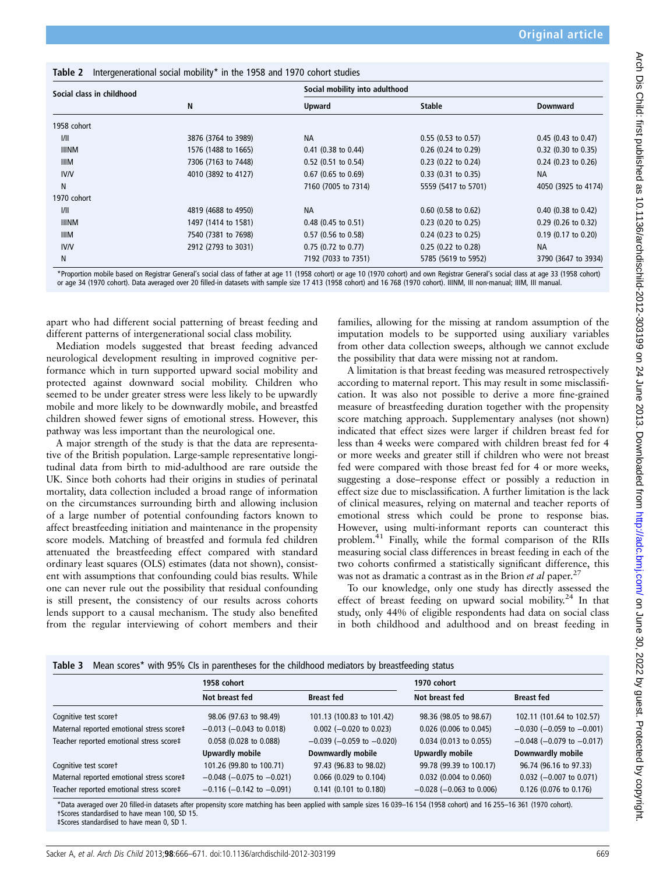| Table 2 Intergenerational social mobility* in the 1958 and 1970 cohort studies |  |  |  |  |
|--------------------------------------------------------------------------------|--|--|--|--|
|                                                                                |  |  |  |  |

| Social class in childhood |                     | Social mobility into adulthood |                       |                       |  |  |  |
|---------------------------|---------------------|--------------------------------|-----------------------|-----------------------|--|--|--|
|                           | N                   | <b>Upward</b>                  | <b>Stable</b>         | <b>Downward</b>       |  |  |  |
| 1958 cohort               |                     |                                |                       |                       |  |  |  |
| 1/11                      | 3876 (3764 to 3989) | <b>NA</b>                      | $0.55$ (0.53 to 0.57) | $0.45$ (0.43 to 0.47) |  |  |  |
| <b>IIINM</b>              | 1576 (1488 to 1665) | $0.41$ (0.38 to 0.44)          | $0.26$ (0.24 to 0.29) | $0.32$ (0.30 to 0.35) |  |  |  |
| <b>IIIM</b>               | 7306 (7163 to 7448) | $0.52$ (0.51 to 0.54)          | $0.23$ (0.22 to 0.24) | $0.24$ (0.23 to 0.26) |  |  |  |
| <b>IV/V</b>               | 4010 (3892 to 4127) | $0.67$ (0.65 to 0.69)          | $0.33$ (0.31 to 0.35) | <b>NA</b>             |  |  |  |
| N                         |                     | 7160 (7005 to 7314)            | 5559 (5417 to 5701)   | 4050 (3925 to 4174)   |  |  |  |
| 1970 cohort               |                     |                                |                       |                       |  |  |  |
| 1/11                      | 4819 (4688 to 4950) | <b>NA</b>                      | $0.60$ (0.58 to 0.62) | $0.40$ (0.38 to 0.42) |  |  |  |
| <b>IIINM</b>              | 1497 (1414 to 1581) | $0.48$ (0.45 to 0.51)          | $0.23$ (0.20 to 0.25) | $0.29$ (0.26 to 0.32) |  |  |  |
| <b>IIIM</b>               | 7540 (7381 to 7698) | $0.57$ (0.56 to 0.58)          | $0.24$ (0.23 to 0.25) | $0.19$ (0.17 to 0.20) |  |  |  |
| <b>IV/V</b>               | 2912 (2793 to 3031) | $0.75$ (0.72 to 0.77)          | $0.25$ (0.22 to 0.28) | <b>NA</b>             |  |  |  |
| N                         |                     | 7192 (7033 to 7351)            | 5785 (5619 to 5952)   | 3790 (3647 to 3934)   |  |  |  |

\*Proportion mobile based on Registrar General's social class of father at age 11 (1958 cohort) or age 10 (1970 cohort) and own Registrar General's social class at age 33 (1958 cohort)<br>or age 34 (1970 cohort). Data averaged

apart who had different social patterning of breast feeding and different patterns of intergenerational social class mobility.

Mediation models suggested that breast feeding advanced neurological development resulting in improved cognitive performance which in turn supported upward social mobility and protected against downward social mobility. Children who seemed to be under greater stress were less likely to be upwardly mobile and more likely to be downwardly mobile, and breastfed children showed fewer signs of emotional stress. However, this pathway was less important than the neurological one.

A major strength of the study is that the data are representative of the British population. Large-sample representative longitudinal data from birth to mid-adulthood are rare outside the UK. Since both cohorts had their origins in studies of perinatal mortality, data collection included a broad range of information on the circumstances surrounding birth and allowing inclusion of a large number of potential confounding factors known to affect breastfeeding initiation and maintenance in the propensity score models. Matching of breastfed and formula fed children attenuated the breastfeeding effect compared with standard ordinary least squares (OLS) estimates (data not shown), consistent with assumptions that confounding could bias results. While one can never rule out the possibility that residual confounding is still present, the consistency of our results across cohorts lends support to a causal mechanism. The study also benefited from the regular interviewing of cohort members and their

families, allowing for the missing at random assumption of the imputation models to be supported using auxiliary variables from other data collection sweeps, although we cannot exclude the possibility that data were missing not at random.

A limitation is that breast feeding was measured retrospectively according to maternal report. This may result in some misclassification. It was also not possible to derive a more fine-grained measure of breastfeeding duration together with the propensity score matching approach. Supplementary analyses (not shown) indicated that effect sizes were larger if children breast fed for less than 4 weeks were compared with children breast fed for 4 or more weeks and greater still if children who were not breast fed were compared with those breast fed for 4 or more weeks, suggesting a dose–response effect or possibly a reduction in effect size due to misclassification. A further limitation is the lack of clinical measures, relying on maternal and teacher reports of emotional stress which could be prone to response bias. However, using multi-informant reports can counteract this problem.41 Finally, while the formal comparison of the RIIs measuring social class differences in breast feeding in each of the two cohorts confirmed a statistically significant difference, this was not as dramatic a contrast as in the Brion et al paper. $27$ 

To our knowledge, only one study has directly assessed the effect of breast feeding on upward social mobility.<sup>24</sup> In that study, only 44% of eligible respondents had data on social class in both childhood and adulthood and on breast feeding in

| Table 3 Mean scores* with 95% CIs in parentheses for the childhood mediators by breastfeeding status |  |  |  |  |
|------------------------------------------------------------------------------------------------------|--|--|--|--|
|                                                                                                      |  |  |  |  |

|                                           | 1958 cohort                       |                                   | 1970 cohort                   |                                   |  |
|-------------------------------------------|-----------------------------------|-----------------------------------|-------------------------------|-----------------------------------|--|
|                                           | Not breast fed                    | <b>Breast fed</b>                 | Not breast fed                | <b>Breast fed</b>                 |  |
| Cognitive test scoret                     | 98.06 (97.63 to 98.49)            | 101.13 (100.83 to 101.42)         | 98.36 (98.05 to 98.67)        | 102.11 (101.64 to 102.57)         |  |
| Maternal reported emotional stress score‡ | $-0.013$ ( $-0.043$ to 0.018)     | $0.002$ (-0.020 to 0.023)         | 0.026 (0.006 to 0.045)        | $-0.030$ ( $-0.059$ to $-0.001$ ) |  |
| Teacher reported emotional stress score‡  | 0.058 (0.028 to 0.088)            | $-0.039$ ( $-0.059$ to $-0.020$ ) | 0.034 (0.013 to 0.055)        | $-0.048$ ( $-0.079$ to $-0.017$ ) |  |
|                                           | Upwardly mobile                   | Downwardly mobile                 | Upwardly mobile               | Downwardly mobile                 |  |
| Cognitive test scoret                     | 101.26 (99.80 to 100.71)          | 97.43 (96.83 to 98.02)            | 99.78 (99.39 to 100.17)       | 96.74 (96.16 to 97.33)            |  |
| Maternal reported emotional stress score‡ | $-0.048$ ( $-0.075$ to $-0.021$ ) | $0.066$ (0.029 to 0.104)          | 0.032 (0.004 to 0.060)        | $0.032$ (-0.007 to 0.071)         |  |
| Teacher reported emotional stress score‡  | $-0.116$ ( $-0.142$ to $-0.091$ ) | 0.141 (0.101 to 0.180)            | $-0.028$ ( $-0.063$ to 0.006) | 0.126 (0.076 to 0.176)            |  |
|                                           |                                   |                                   |                               |                                   |  |

\*Data averaged over 20 filled-in datasets after propensity score matching has been applied with sample sizes 16 039–16 154 (1958 cohort) and 16 255–16 361 (1970 cohort). †Scores standardised to have mean 100, SD 15.

‡Scores standardised to have mean 0, SD 1.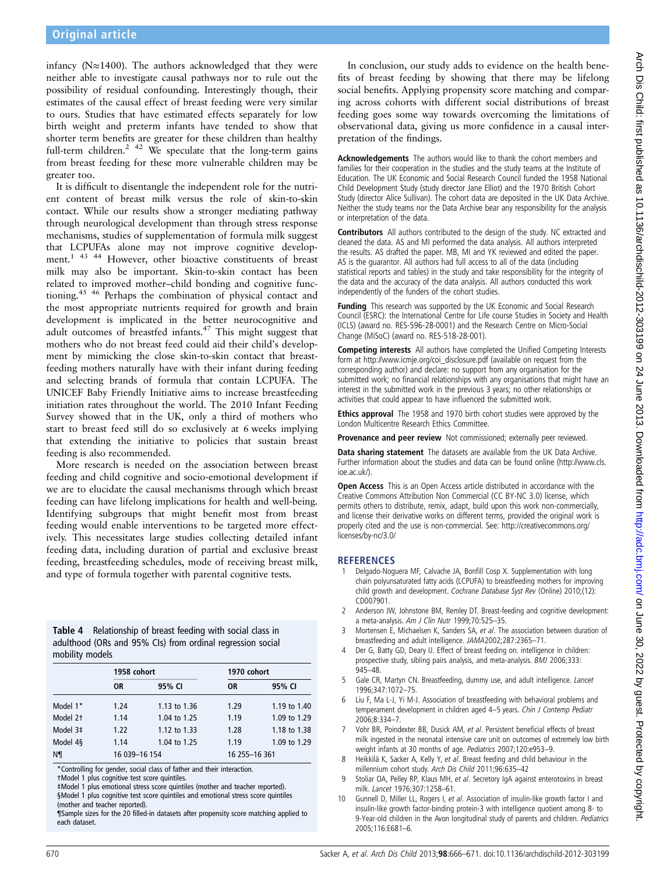infancy (N≈1400). The authors acknowledged that they were neither able to investigate causal pathways nor to rule out the possibility of residual confounding. Interestingly though, their estimates of the causal effect of breast feeding were very similar to ours. Studies that have estimated effects separately for low birth weight and preterm infants have tended to show that shorter term benefits are greater for these children than healthy full-term children.<sup>2</sup> <sup>42</sup> We speculate that the long-term gains from breast feeding for these more vulnerable children may be greater too.

It is difficult to disentangle the independent role for the nutrient content of breast milk versus the role of skin-to-skin contact. While our results show a stronger mediating pathway through neurological development than through stress response mechanisms, studies of supplementation of formula milk suggest that LCPUFAs alone may not improve cognitive development.1 43 44 However, other bioactive constituents of breast milk may also be important. Skin-to-skin contact has been related to improved mother–child bonding and cognitive functioning.<sup>45 46</sup> Perhaps the combination of physical contact and the most appropriate nutrients required for growth and brain development is implicated in the better neurocognitive and adult outcomes of breastfed infants.<sup>47</sup> This might suggest that mothers who do not breast feed could aid their child's development by mimicking the close skin-to-skin contact that breastfeeding mothers naturally have with their infant during feeding and selecting brands of formula that contain LCPUFA. The UNICEF Baby Friendly Initiative aims to increase breastfeeding initiation rates throughout the world. The 2010 Infant Feeding Survey showed that in the UK, only a third of mothers who start to breast feed still do so exclusively at 6 weeks implying that extending the initiative to policies that sustain breast feeding is also recommended.

More research is needed on the association between breast feeding and child cognitive and socio-emotional development if we are to elucidate the causal mechanisms through which breast feeding can have lifelong implications for health and well-being. Identifying subgroups that might benefit most from breast feeding would enable interventions to be targeted more effectively. This necessitates large studies collecting detailed infant feeding data, including duration of partial and exclusive breast feeding, breastfeeding schedules, mode of receiving breast milk, and type of formula together with parental cognitive tests.

Table 4 Relationship of breast feeding with social class in adulthood (ORs and 95% CIs) from ordinal regression social mobility models

|                      |           | 1958 cohort   |      | 1970 cohort   |  |  |
|----------------------|-----------|---------------|------|---------------|--|--|
|                      | <b>OR</b> | 95% CI        | 0R   | 95% CI        |  |  |
| Model 1 <sup>*</sup> | 1.24      | 1.13 to 1.36  | 1.29 | 1.19 to 1.40  |  |  |
| Model 2 <sup>+</sup> | 1.14      | 1.04 to 1.25  | 1.19 | 1.09 to 1.29  |  |  |
| Model 3‡             | 1.22      | 1.12 to 1.33  | 1.28 | 1.18 to 1.38  |  |  |
| Model 4§             | 1.14      | 1.04 to 1.25  | 1.19 | 1.09 to 1.29  |  |  |
| N¶                   |           | 16 039-16 154 |      | 16 255-16 361 |  |  |

\*Controlling for gender, social class of father and their interaction.

†Model 1 plus cognitive test score quintiles.

‡Model 1 plus emotional stress score quintiles (mother and teacher reported). §Model 1 plus cognitive test score quintiles and emotional stress score quintiles

(mother and teacher reported). ¶Sample sizes for the 20 filled-in datasets after propensity score matching applied to

each dataset.

In conclusion, our study adds to evidence on the health benefits of breast feeding by showing that there may be lifelong social benefits. Applying propensity score matching and comparing across cohorts with different social distributions of breast feeding goes some way towards overcoming the limitations of observational data, giving us more confidence in a causal interpretation of the findings.

Acknowledgements The authors would like to thank the cohort members and families for their cooperation in the studies and the study teams at the Institute of Education. The UK Economic and Social Research Council funded the 1958 National Child Development Study (study director Jane Elliot) and the 1970 British Cohort Study (director Alice Sullivan). The cohort data are deposited in the UK Data Archive. Neither the study teams nor the Data Archive bear any responsibility for the analysis or interpretation of the data.

**Contributors** All authors contributed to the design of the study. NC extracted and cleaned the data. AS and MI performed the data analysis. All authors interpreted the results. AS drafted the paper. MB, MI and YK reviewed and edited the paper. AS is the guarantor. All authors had full access to all of the data (including statistical reports and tables) in the study and take responsibility for the integrity of the data and the accuracy of the data analysis. All authors conducted this work independently of the funders of the cohort studies.

Funding This research was supported by the UK Economic and Social Research Council (ESRC): the International Centre for Life course Studies in Society and Health (ICLS) (award no. RES-596-28-0001) and the Research Centre on Micro-Social Change (MiSoC) (award no. RES-518-28-001).

Competing interests All authors have completed the Unified Competing Interests form at [http://www.icmje.org/coi\\_disclosure.pdf](http://www.icmje.org/coi_disclosure.pdf) (available on request from the corresponding author) and declare: no support from any organisation for the submitted work; no financial relationships with any organisations that might have an interest in the submitted work in the previous 3 years; no other relationships or activities that could appear to have influenced the submitted work.

Ethics approval The 1958 and 1970 birth cohort studies were approved by the London Multicentre Research Ethics Committee.

Provenance and peer review Not commissioned; externally peer reviewed.

Data sharing statement The datasets are available from the UK Data Archive. Further information about the studies and data can be found online ([http://www.cls.](http://www.cls.ioe.ac.uk/)) [ioe.ac.uk/\)](http://www.cls.ioe.ac.uk/)).

**Open Access** This is an Open Access article distributed in accordance with the Creative Commons Attribution Non Commercial (CC BY-NC 3.0) license, which permits others to distribute, remix, adapt, build upon this work non-commercially, and license their derivative works on different terms, provided the original work is properly cited and the use is non-commercial. See: http://creativecommons.org/ licenses/by-nc/3.0/

#### **REFERENCES**

- 1 Delgado-Noguera MF, Calvache JA, Bonfill Cosp X. Supplementation with long chain polyunsaturated fatty acids (LCPUFA) to breastfeeding mothers for improving child growth and development. Cochrane Database Syst Rev (Online) 2010;(12): CD007901.
- 2 Anderson JW, Johnstone BM, Remley DT. Breast-feeding and cognitive development: a meta-analysis. Am J Clin Nutr 1999;70:525–35.
- 3 Mortensen E, Michaelsen K, Sanders SA, et al. The association between duration of breastfeeding and adult intelligence. JAMA2002;287:2365–71.
- 4 Der G, Batty GD, Deary IJ. Effect of breast feeding on. intelligence in children: prospective study, sibling pairs analysis, and meta-analysis. BMJ 2006;333: 945–48.
- 5 Gale CR, Martyn CN. Breastfeeding, dummy use, and adult intelligence. Lancet 1996;347:1072–75.
- 6 Liu F, Ma L-J, Yi M-J. Association of breastfeeding with behavioral problems and temperament development in children aged 4-5 years. Chin J Contemp Pediatr 2006;8:334–7.
- 7 Vohr BR, Poindexter BB, Dusick AM, et al. Persistent beneficial effects of breast milk ingested in the neonatal intensive care unit on outcomes of extremely low birth weight infants at 30 months of age. Pediatrics 2007;120:e953–9.
- 8 Heikkilä K, Sacker A, Kelly Y, et al. Breast feeding and child behaviour in the millennium cohort study. Arch Dis Child 2011;96:635–42
- 9 Stoliar OA, Pelley RP, Klaus MH, et al. Secretory IgA against enterotoxins in breast milk. Lancet 1976;307:1258–61.
- 10 Gunnell D, Miller LL, Rogers I, et al. Association of insulin-like growth factor I and insulin-like growth factor-binding protein-3 with intelligence quotient among 8- to 9-Year-old children in the Avon longitudinal study of parents and children. Pediatrics 2005;116:E681–6.